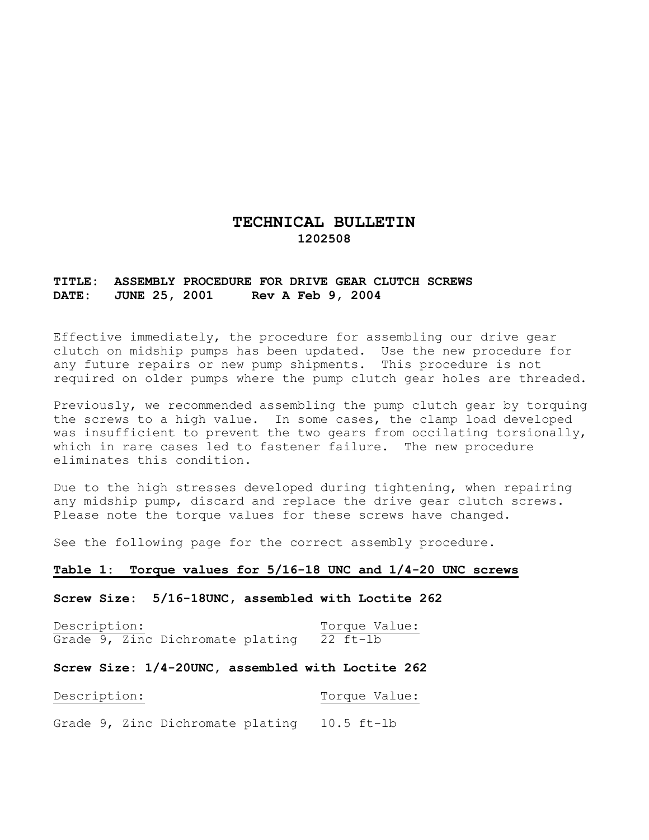# **TECHNICAL BULLETIN 1202508**

# **TITLE: ASSEMBLY PROCEDURE FOR DRIVE GEAR CLUTCH SCREWS DATE: JUNE 25, 2001 Rev A Feb 9, 2004**

Effective immediately, the procedure for assembling our drive gear clutch on midship pumps has been updated. Use the new procedure for any future repairs or new pump shipments. This procedure is not required on older pumps where the pump clutch gear holes are threaded.

Previously, we recommended assembling the pump clutch gear by torquing the screws to a high value. In some cases, the clamp load developed was insufficient to prevent the two gears from occilating torsionally, which in rare cases led to fastener failure. The new procedure eliminates this condition.

Due to the high stresses developed during tightening, when repairing any midship pump, discard and replace the drive gear clutch screws. Please note the torque values for these screws have changed.

See the following page for the correct assembly procedure.

## **Table 1: Torque values for 5/16-18\_UNC and 1/4-20 UNC screws**

**Screw Size: 5/16-18UNC, assembled with Loctite 262** 

Description: Torque Value: Grade 9, Zinc Dichromate plating  $\overline{22}$  ft-lb

#### **Screw Size: 1/4-20UNC, assembled with Loctite 262**

Description: Torque Value:

Grade 9, Zinc Dichromate plating 10.5 ft-lb